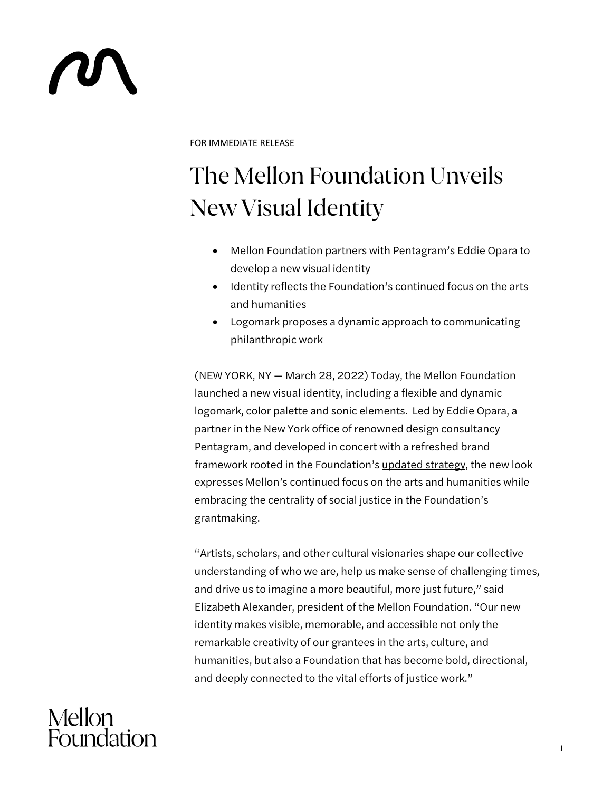FOR IMMEDIATE RELEASE

# The Mellon Foundation Unveils New Visual Identity

- Mellon Foundation partners with Pentagram's Eddie Opara to develop a new visual identity
- Identity reflects the Foundation's continued focus on the arts and humanities
- Logomark proposes a dynamic approach to communicating philanthropic work

(NEW YORK, NY — March 28, 2022) Today, the Mellon Foundation launched a new visual identity, including a flexible and dynamic logomark, color palette and sonic elements. Led by Eddie Opara, a partner in the New York office of renowned design consultancy Pentagram, and developed in concert with a refreshed brand framework rooted in the Foundation's updated strategy, the new look expresses Mellon's continued focus on the arts and humanities while embracing the centrality of social justice in the Foundation's grantmaking.

"Artists, scholars, and other cultural visionaries shape our collective understanding of who we are, help us make sense of challenging times, and drive us to imagine a more beautiful, more just future," said Elizabeth Alexander, president of the Mellon Foundation. "Our new identity makes visible, memorable, and accessible not only the remarkable creativity of our grantees in the arts, culture, and humanities, but also a Foundation that has become bold, directional, and deeply connected to the vital efforts of justice work."

## Mellon Foundation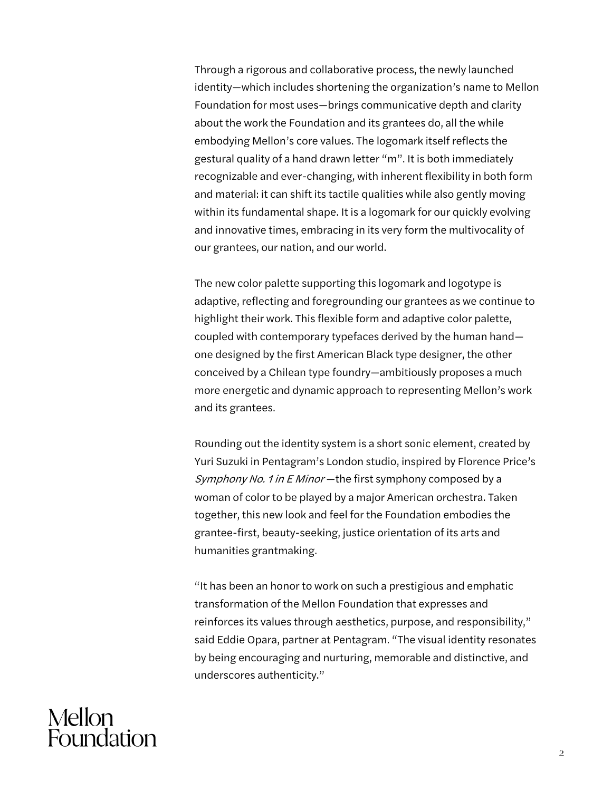Through a rigorous and collaborative process, the newly launched identity—which includes shortening the organization's name to Mellon Foundation for most uses—brings communicative depth and clarity about the work the Foundation and its grantees do, all the while embodying Mellon's core values. The logomark itself reflects the gestural quality of a hand drawn letter "m". It is both immediately recognizable and ever-changing, with inherent flexibility in both form and material: it can shift its tactile qualities while also gently moving within its fundamental shape. It is a logomark for our quickly evolving and innovative times, embracing in its very form the multivocality of our grantees, our nation, and our world.

The new color palette supporting this logomark and logotype is adaptive, reflecting and foregrounding our grantees as we continue to highlight their work. This flexible form and adaptive color palette, coupled with contemporary typefaces derived by the human hand one designed by the first American Black type designer, the other conceived by a Chilean type foundry—ambitiously proposes a much more energetic and dynamic approach to representing Mellon's work and its grantees.

Rounding out the identity system is a short sonic element, created by Yuri Suzuki in Pentagram's London studio, inspired by Florence Price's Symphony No. 1 in E Minor-the first symphony composed by a woman of color to be played by a major American orchestra. Taken together, this new look and feel for the Foundation embodies the grantee-first, beauty-seeking, justice orientation of its arts and humanities grantmaking.

"It has been an honor to work on such a prestigious and emphatic transformation of the Mellon Foundation that expresses and reinforces its values through aesthetics, purpose, and responsibility," said Eddie Opara, partner at Pentagram. "The visual identity resonates by being encouraging and nurturing, memorable and distinctive, and underscores authenticity."

### Mellon Foundation